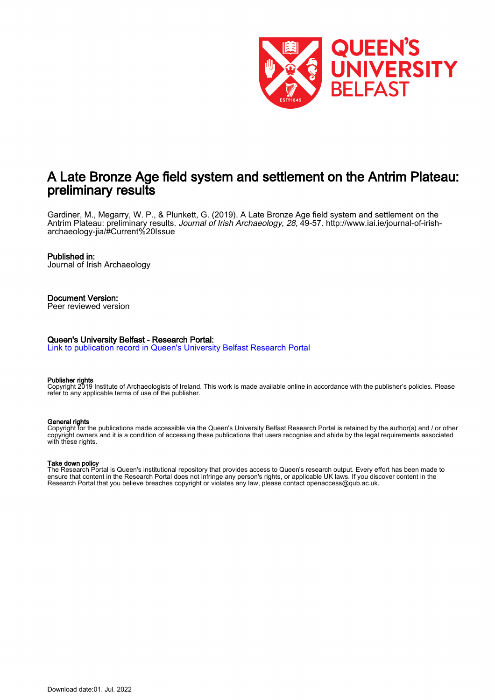

# A Late Bronze Age field system and settlement on the Antrim Plateau: preliminary results

Gardiner, M., Megarry, W. P., & Plunkett, G. (2019). A Late Bronze Age field system and settlement on the Antrim Plateau: preliminary results. Journal of Irish Archaeology, 28, 49-57. [http://www.iai.ie/journal-of-irish](http://www.iai.ie/journal-of-irish-archaeology-jia/#Current%20Issue)[archaeology-jia/#Current%20Issue](http://www.iai.ie/journal-of-irish-archaeology-jia/#Current%20Issue)

### Published in:

Journal of Irish Archaeology

#### Document Version: Peer reviewed version

### Queen's University Belfast - Research Portal:

[Link to publication record in Queen's University Belfast Research Portal](https://pure.qub.ac.uk/en/publications/46f3013e-4837-4657-aab1-c7041b7978d0)

#### Publisher rights

Copyright 2019 Institute of Archaeologists of Ireland. This work is made available online in accordance with the publisher's policies. Please refer to any applicable terms of use of the publisher.

#### General rights

Copyright for the publications made accessible via the Queen's University Belfast Research Portal is retained by the author(s) and / or other copyright owners and it is a condition of accessing these publications that users recognise and abide by the legal requirements associated with these rights.

#### Take down policy

The Research Portal is Queen's institutional repository that provides access to Queen's research output. Every effort has been made to ensure that content in the Research Portal does not infringe any person's rights, or applicable UK laws. If you discover content in the Research Portal that you believe breaches copyright or violates any law, please contact openaccess@qub.ac.uk.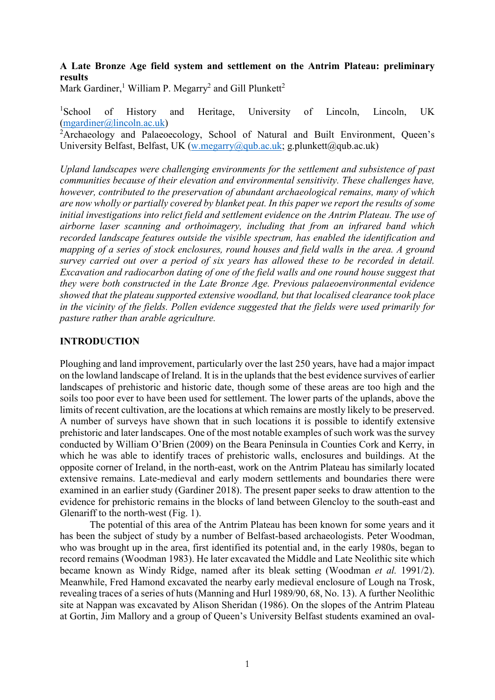## A Late Bronze Age field system and settlement on the Antrim Plateau: preliminary results

Mark Gardiner,<sup>1</sup> William P. Megarry<sup>2</sup> and Gill Plunkett<sup>2</sup>

<sup>1</sup>School of History and Heritage, University of Lincoln, Lincoln, UK (mgardiner@lincoln.ac.uk)

<sup>2</sup>Archaeology and Palaeoecology, School of Natural and Built Environment, Queen's University Belfast, Belfast, UK (w.megarry@qub.ac.uk; g.plunkett@qub.ac.uk)

Upland landscapes were challenging environments for the settlement and subsistence of past communities because of their elevation and environmental sensitivity. These challenges have, however, contributed to the preservation of abundant archaeological remains, many of which are now wholly or partially covered by blanket peat. In this paper we report the results of some initial investigations into relict field and settlement evidence on the Antrim Plateau. The use of airborne laser scanning and orthoimagery, including that from an infrared band which recorded landscape features outside the visible spectrum, has enabled the identification and mapping of a series of stock enclosures, round houses and field walls in the area. A ground survey carried out over a period of six years has allowed these to be recorded in detail. Excavation and radiocarbon dating of one of the field walls and one round house suggest that they were both constructed in the Late Bronze Age. Previous palaeoenvironmental evidence showed that the plateau supported extensive woodland, but that localised clearance took place in the vicinity of the fields. Pollen evidence suggested that the fields were used primarily for pasture rather than arable agriculture.

### INTRODUCTION

Ploughing and land improvement, particularly over the last 250 years, have had a major impact on the lowland landscape of Ireland. It is in the uplands that the best evidence survives of earlier landscapes of prehistoric and historic date, though some of these areas are too high and the soils too poor ever to have been used for settlement. The lower parts of the uplands, above the limits of recent cultivation, are the locations at which remains are mostly likely to be preserved. A number of surveys have shown that in such locations it is possible to identify extensive prehistoric and later landscapes. One of the most notable examples of such work was the survey conducted by William O'Brien (2009) on the Beara Peninsula in Counties Cork and Kerry, in which he was able to identify traces of prehistoric walls, enclosures and buildings. At the opposite corner of Ireland, in the north-east, work on the Antrim Plateau has similarly located extensive remains. Late-medieval and early modern settlements and boundaries there were examined in an earlier study (Gardiner 2018). The present paper seeks to draw attention to the evidence for prehistoric remains in the blocks of land between Glencloy to the south-east and Glenariff to the north-west (Fig. 1).

The potential of this area of the Antrim Plateau has been known for some years and it has been the subject of study by a number of Belfast-based archaeologists. Peter Woodman, who was brought up in the area, first identified its potential and, in the early 1980s, began to record remains (Woodman 1983). He later excavated the Middle and Late Neolithic site which became known as Windy Ridge, named after its bleak setting (Woodman et al. 1991/2). Meanwhile, Fred Hamond excavated the nearby early medieval enclosure of Lough na Trosk, revealing traces of a series of huts (Manning and Hurl 1989/90, 68, No. 13). A further Neolithic site at Nappan was excavated by Alison Sheridan (1986). On the slopes of the Antrim Plateau at Gortin, Jim Mallory and a group of Queen's University Belfast students examined an oval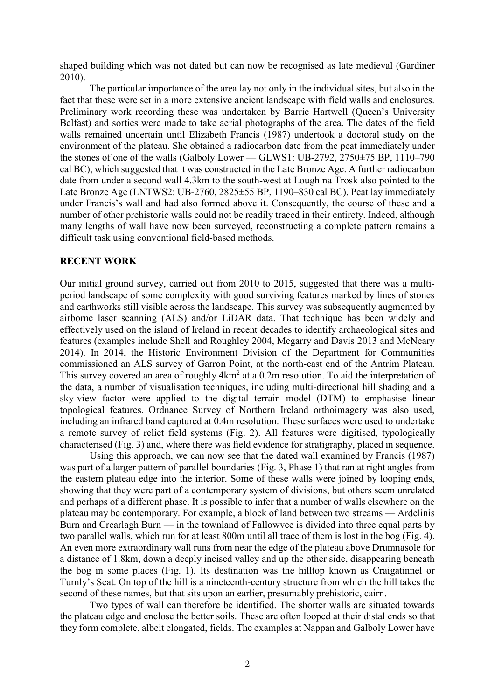shaped building which was not dated but can now be recognised as late medieval (Gardiner 2010).

The particular importance of the area lay not only in the individual sites, but also in the fact that these were set in a more extensive ancient landscape with field walls and enclosures. Preliminary work recording these was undertaken by Barrie Hartwell (Queen's University Belfast) and sorties were made to take aerial photographs of the area. The dates of the field walls remained uncertain until Elizabeth Francis (1987) undertook a doctoral study on the environment of the plateau. She obtained a radiocarbon date from the peat immediately under the stones of one of the walls (Galboly Lower — GLWS1: UB-2792, 2750±75 BP, 1110–790 cal BC), which suggested that it was constructed in the Late Bronze Age. A further radiocarbon date from under a second wall 4.3km to the south-west at Lough na Trosk also pointed to the Late Bronze Age (LNTWS2: UB-2760, 2825±55 BP, 1190–830 cal BC). Peat lay immediately under Francis's wall and had also formed above it. Consequently, the course of these and a number of other prehistoric walls could not be readily traced in their entirety. Indeed, although many lengths of wall have now been surveyed, reconstructing a complete pattern remains a difficult task using conventional field-based methods.

### RECENT WORK

Our initial ground survey, carried out from 2010 to 2015, suggested that there was a multiperiod landscape of some complexity with good surviving features marked by lines of stones and earthworks still visible across the landscape. This survey was subsequently augmented by airborne laser scanning (ALS) and/or LiDAR data. That technique has been widely and effectively used on the island of Ireland in recent decades to identify archaeological sites and features (examples include Shell and Roughley 2004, Megarry and Davis 2013 and McNeary 2014). In 2014, the Historic Environment Division of the Department for Communities commissioned an ALS survey of Garron Point, at the north-east end of the Antrim Plateau. This survey covered an area of roughly  $4km^2$  at a 0.2m resolution. To aid the interpretation of the data, a number of visualisation techniques, including multi-directional hill shading and a sky-view factor were applied to the digital terrain model (DTM) to emphasise linear topological features. Ordnance Survey of Northern Ireland orthoimagery was also used, including an infrared band captured at 0.4m resolution. These surfaces were used to undertake a remote survey of relict field systems (Fig. 2). All features were digitised, typologically characterised (Fig. 3) and, where there was field evidence for stratigraphy, placed in sequence.

Using this approach, we can now see that the dated wall examined by Francis (1987) was part of a larger pattern of parallel boundaries (Fig. 3, Phase 1) that ran at right angles from the eastern plateau edge into the interior. Some of these walls were joined by looping ends, showing that they were part of a contemporary system of divisions, but others seem unrelated and perhaps of a different phase. It is possible to infer that a number of walls elsewhere on the plateau may be contemporary. For example, a block of land between two streams — Ardclinis Burn and Crearlagh Burn — in the townland of Fallowvee is divided into three equal parts by two parallel walls, which run for at least 800m until all trace of them is lost in the bog (Fig. 4). An even more extraordinary wall runs from near the edge of the plateau above Drumnasole for a distance of 1.8km, down a deeply incised valley and up the other side, disappearing beneath the bog in some places (Fig. 1). Its destination was the hilltop known as Craigatinnel or Turnly's Seat. On top of the hill is a nineteenth-century structure from which the hill takes the second of these names, but that sits upon an earlier, presumably prehistoric, cairn.

Two types of wall can therefore be identified. The shorter walls are situated towards the plateau edge and enclose the better soils. These are often looped at their distal ends so that they form complete, albeit elongated, fields. The examples at Nappan and Galboly Lower have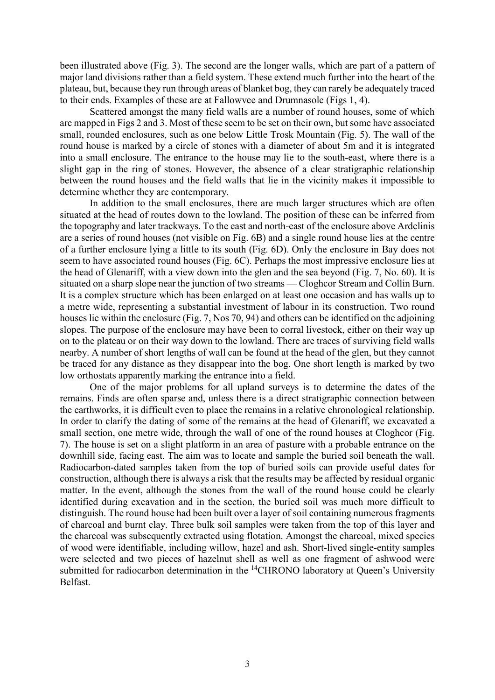been illustrated above (Fig. 3). The second are the longer walls, which are part of a pattern of major land divisions rather than a field system. These extend much further into the heart of the plateau, but, because they run through areas of blanket bog, they can rarely be adequately traced to their ends. Examples of these are at Fallowvee and Drumnasole (Figs 1, 4).

Scattered amongst the many field walls are a number of round houses, some of which are mapped in Figs 2 and 3. Most of these seem to be set on their own, but some have associated small, rounded enclosures, such as one below Little Trosk Mountain (Fig. 5). The wall of the round house is marked by a circle of stones with a diameter of about 5m and it is integrated into a small enclosure. The entrance to the house may lie to the south-east, where there is a slight gap in the ring of stones. However, the absence of a clear stratigraphic relationship between the round houses and the field walls that lie in the vicinity makes it impossible to determine whether they are contemporary.

In addition to the small enclosures, there are much larger structures which are often situated at the head of routes down to the lowland. The position of these can be inferred from the topography and later trackways. To the east and north-east of the enclosure above Ardclinis are a series of round houses (not visible on Fig. 6B) and a single round house lies at the centre of a further enclosure lying a little to its south (Fig. 6D). Only the enclosure in Bay does not seem to have associated round houses (Fig. 6C). Perhaps the most impressive enclosure lies at the head of Glenariff, with a view down into the glen and the sea beyond (Fig. 7, No. 60). It is situated on a sharp slope near the junction of two streams — Cloghcor Stream and Collin Burn. It is a complex structure which has been enlarged on at least one occasion and has walls up to a metre wide, representing a substantial investment of labour in its construction. Two round houses lie within the enclosure (Fig. 7, Nos 70, 94) and others can be identified on the adjoining slopes. The purpose of the enclosure may have been to corral livestock, either on their way up on to the plateau or on their way down to the lowland. There are traces of surviving field walls nearby. A number of short lengths of wall can be found at the head of the glen, but they cannot be traced for any distance as they disappear into the bog. One short length is marked by two low orthostats apparently marking the entrance into a field.

One of the major problems for all upland surveys is to determine the dates of the remains. Finds are often sparse and, unless there is a direct stratigraphic connection between the earthworks, it is difficult even to place the remains in a relative chronological relationship. In order to clarify the dating of some of the remains at the head of Glenariff, we excavated a small section, one metre wide, through the wall of one of the round houses at Cloghcor (Fig. 7). The house is set on a slight platform in an area of pasture with a probable entrance on the downhill side, facing east. The aim was to locate and sample the buried soil beneath the wall. Radiocarbon-dated samples taken from the top of buried soils can provide useful dates for construction, although there is always a risk that the results may be affected by residual organic matter. In the event, although the stones from the wall of the round house could be clearly identified during excavation and in the section, the buried soil was much more difficult to distinguish. The round house had been built over a layer of soil containing numerous fragments of charcoal and burnt clay. Three bulk soil samples were taken from the top of this layer and the charcoal was subsequently extracted using flotation. Amongst the charcoal, mixed species of wood were identifiable, including willow, hazel and ash. Short-lived single-entity samples were selected and two pieces of hazelnut shell as well as one fragment of ashwood were submitted for radiocarbon determination in the <sup>14</sup>CHRONO laboratory at Queen's University Belfast.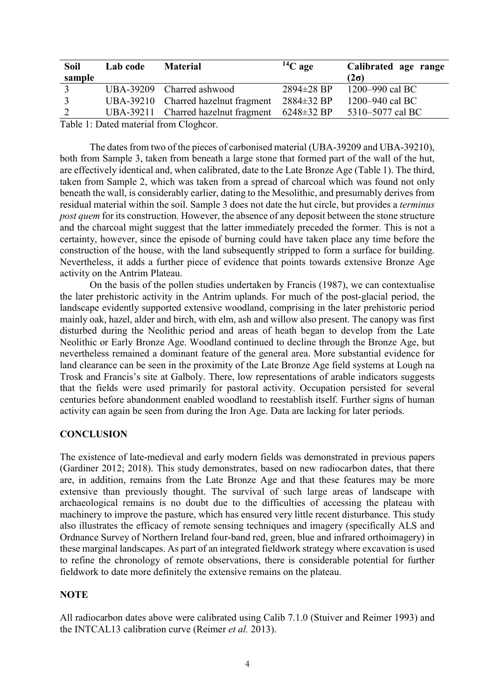| <b>Soil</b>                           | Lab code | <b>Material</b>                     | $14C$ age        | Calibrated age range |
|---------------------------------------|----------|-------------------------------------|------------------|----------------------|
| sample                                |          |                                     |                  | $(2\sigma)$          |
| $\mathcal{R}$                         |          | UBA-39209 Charred ashwood           | 2894±28 BP       | 1200–990 cal BC      |
| $\mathcal{R}$                         |          | UBA-39210 Charred hazelnut fragment | $2884 \pm 32$ BP | 1200–940 cal BC      |
| 2                                     |          | UBA-39211 Charred hazelnut fragment | $6248 \pm 32$ BP | 5310–5077 cal BC     |
| Table 1. Dated material from Clasheon |          |                                     |                  |                      |

Table 1: Dated material from Cloghcor.

The dates from two of the pieces of carbonised material (UBA-39209 and UBA-39210), both from Sample 3, taken from beneath a large stone that formed part of the wall of the hut, are effectively identical and, when calibrated, date to the Late Bronze Age (Table 1). The third, taken from Sample 2, which was taken from a spread of charcoal which was found not only beneath the wall, is considerably earlier, dating to the Mesolithic, and presumably derives from residual material within the soil. Sample 3 does not date the hut circle, but provides a terminus post quem for its construction. However, the absence of any deposit between the stone structure and the charcoal might suggest that the latter immediately preceded the former. This is not a certainty, however, since the episode of burning could have taken place any time before the construction of the house, with the land subsequently stripped to form a surface for building. Nevertheless, it adds a further piece of evidence that points towards extensive Bronze Age activity on the Antrim Plateau.

On the basis of the pollen studies undertaken by Francis (1987), we can contextualise the later prehistoric activity in the Antrim uplands. For much of the post-glacial period, the landscape evidently supported extensive woodland, comprising in the later prehistoric period mainly oak, hazel, alder and birch, with elm, ash and willow also present. The canopy was first disturbed during the Neolithic period and areas of heath began to develop from the Late Neolithic or Early Bronze Age. Woodland continued to decline through the Bronze Age, but nevertheless remained a dominant feature of the general area. More substantial evidence for land clearance can be seen in the proximity of the Late Bronze Age field systems at Lough na Trosk and Francis's site at Galboly. There, low representations of arable indicators suggests that the fields were used primarily for pastoral activity. Occupation persisted for several centuries before abandonment enabled woodland to reestablish itself. Further signs of human activity can again be seen from during the Iron Age. Data are lacking for later periods.

### **CONCLUSION**

The existence of late-medieval and early modern fields was demonstrated in previous papers (Gardiner 2012; 2018). This study demonstrates, based on new radiocarbon dates, that there are, in addition, remains from the Late Bronze Age and that these features may be more extensive than previously thought. The survival of such large areas of landscape with archaeological remains is no doubt due to the difficulties of accessing the plateau with machinery to improve the pasture, which has ensured very little recent disturbance. This study also illustrates the efficacy of remote sensing techniques and imagery (specifically ALS and Ordnance Survey of Northern Ireland four-band red, green, blue and infrared orthoimagery) in these marginal landscapes. As part of an integrated fieldwork strategy where excavation is used to refine the chronology of remote observations, there is considerable potential for further fieldwork to date more definitely the extensive remains on the plateau.

# **NOTE**

All radiocarbon dates above were calibrated using Calib 7.1.0 (Stuiver and Reimer 1993) and the INTCAL13 calibration curve (Reimer et al. 2013).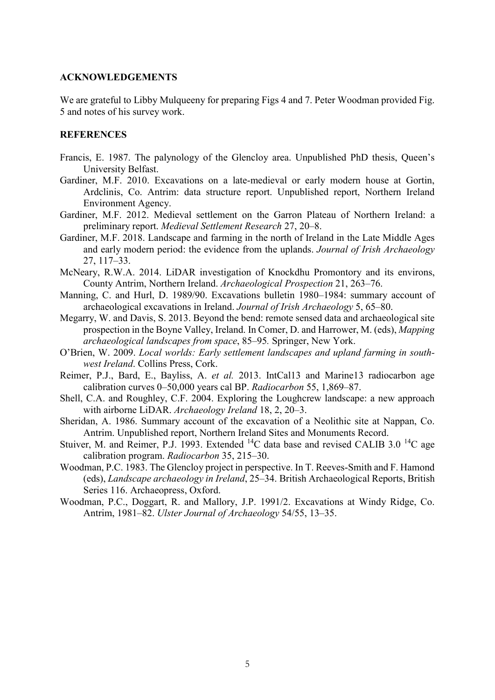### ACKNOWLEDGEMENTS

We are grateful to Libby Mulqueeny for preparing Figs 4 and 7. Peter Woodman provided Fig. 5 and notes of his survey work.

### **REFERENCES**

- Francis, E. 1987. The palynology of the Glencloy area. Unpublished PhD thesis, Queen's University Belfast.
- Gardiner, M.F. 2010. Excavations on a late-medieval or early modern house at Gortin, Ardclinis, Co. Antrim: data structure report. Unpublished report, Northern Ireland Environment Agency.
- Gardiner, M.F. 2012. Medieval settlement on the Garron Plateau of Northern Ireland: a preliminary report. Medieval Settlement Research 27, 20–8.
- Gardiner, M.F. 2018. Landscape and farming in the north of Ireland in the Late Middle Ages and early modern period: the evidence from the uplands. Journal of Irish Archaeology 27, 117–33.
- McNeary, R.W.A. 2014. LiDAR investigation of Knockdhu Promontory and its environs, County Antrim, Northern Ireland. Archaeological Prospection 21, 263–76.
- Manning, C. and Hurl, D. 1989/90. Excavations bulletin 1980–1984: summary account of archaeological excavations in Ireland. Journal of Irish Archaeology 5, 65–80.
- Megarry, W. and Davis, S. 2013. Beyond the bend: remote sensed data and archaeological site prospection in the Boyne Valley, Ireland. In Comer, D. and Harrower, M. (eds), Mapping archaeological landscapes from space, 85–95. Springer, New York.
- O'Brien, W. 2009. Local worlds: Early settlement landscapes and upland farming in southwest Ireland. Collins Press, Cork.
- Reimer, P.J., Bard, E., Bayliss, A. et al. 2013. IntCal13 and Marine13 radiocarbon age calibration curves 0–50,000 years cal BP. Radiocarbon 55, 1,869–87.
- Shell, C.A. and Roughley, C.F. 2004. Exploring the Loughcrew landscape: a new approach with airborne LiDAR. Archaeology Ireland 18, 2, 20–3.
- Sheridan, A. 1986. Summary account of the excavation of a Neolithic site at Nappan, Co. Antrim. Unpublished report, Northern Ireland Sites and Monuments Record.
- Stuiver, M. and Reimer, P.J. 1993. Extended  ${}^{14}C$  data base and revised CALIB 3.0  ${}^{14}C$  age calibration program. Radiocarbon 35, 215–30.
- Woodman, P.C. 1983. The Glencloy project in perspective. In T. Reeves-Smith and F. Hamond (eds), Landscape archaeology in Ireland, 25–34. British Archaeological Reports, British Series 116. Archaeopress, Oxford.
- Woodman, P.C., Doggart, R. and Mallory, J.P. 1991/2. Excavations at Windy Ridge, Co. Antrim, 1981–82. Ulster Journal of Archaeology 54/55, 13–35.